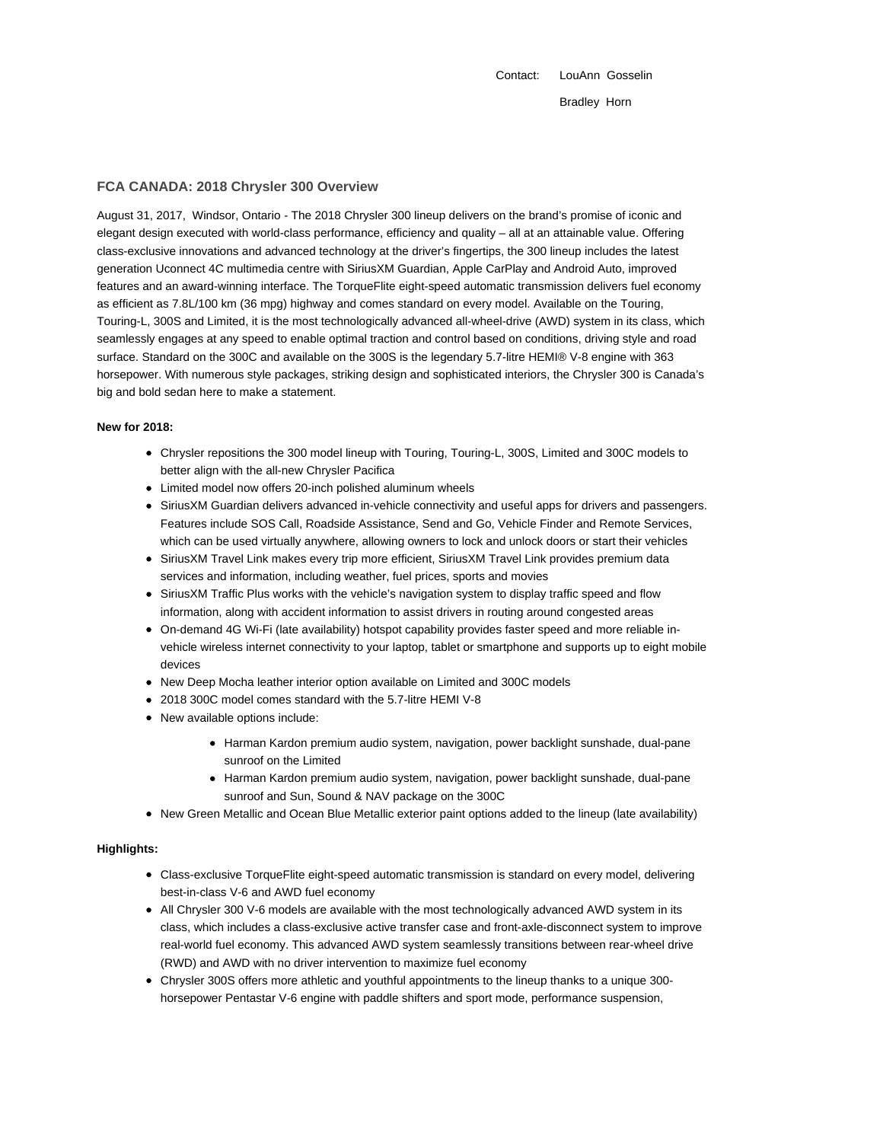Contact: LouAnn Gosselin Bradley Horn

# **FCA CANADA: 2018 Chrysler 300 Overview**

August 31, 2017, Windsor, Ontario - The 2018 Chrysler 300 lineup delivers on the brand's promise of iconic and elegant design executed with world-class performance, efficiency and quality – all at an attainable value. Offering class-exclusive innovations and advanced technology at the driver's fingertips, the 300 lineup includes the latest generation Uconnect 4C multimedia centre with SiriusXM Guardian, Apple CarPlay and Android Auto, improved features and an award-winning interface. The TorqueFlite eight-speed automatic transmission delivers fuel economy as efficient as 7.8L/100 km (36 mpg) highway and comes standard on every model. Available on the Touring, Touring-L, 300S and Limited, it is the most technologically advanced all-wheel-drive (AWD) system in its class, which seamlessly engages at any speed to enable optimal traction and control based on conditions, driving style and road surface. Standard on the 300C and available on the 300S is the legendary 5.7-litre HEMI® V-8 engine with 363 horsepower. With numerous style packages, striking design and sophisticated interiors, the Chrysler 300 is Canada's big and bold sedan here to make a statement.

## **New for 2018:**

- Chrysler repositions the 300 model lineup with Touring, Touring-L, 300S, Limited and 300C models to better align with the all-new Chrysler Pacifica
- Limited model now offers 20-inch polished aluminum wheels
- SiriusXM Guardian delivers advanced in-vehicle connectivity and useful apps for drivers and passengers. Features include SOS Call, Roadside Assistance, Send and Go, Vehicle Finder and Remote Services, which can be used virtually anywhere, allowing owners to lock and unlock doors or start their vehicles
- SiriusXM Travel Link makes every trip more efficient, SiriusXM Travel Link provides premium data services and information, including weather, fuel prices, sports and movies
- SiriusXM Traffic Plus works with the vehicle's navigation system to display traffic speed and flow information, along with accident information to assist drivers in routing around congested areas
- On-demand 4G Wi-Fi (late availability) hotspot capability provides faster speed and more reliable invehicle wireless internet connectivity to your laptop, tablet or smartphone and supports up to eight mobile devices
- New Deep Mocha leather interior option available on Limited and 300C models
- 2018 300C model comes standard with the 5.7-litre HEMI V-8
- New available options include:
	- Harman Kardon premium audio system, navigation, power backlight sunshade, dual-pane sunroof on the Limited
	- Harman Kardon premium audio system, navigation, power backlight sunshade, dual-pane sunroof and Sun, Sound & NAV package on the 300C
- New Green Metallic and Ocean Blue Metallic exterior paint options added to the lineup (late availability)

## **Highlights:**

- Class-exclusive TorqueFlite eight-speed automatic transmission is standard on every model, delivering best-in-class V-6 and AWD fuel economy
- All Chrysler 300 V-6 models are available with the most technologically advanced AWD system in its class, which includes a class-exclusive active transfer case and front-axle-disconnect system to improve real-world fuel economy. This advanced AWD system seamlessly transitions between rear-wheel drive (RWD) and AWD with no driver intervention to maximize fuel economy
- Chrysler 300S offers more athletic and youthful appointments to the lineup thanks to a unique 300 horsepower Pentastar V-6 engine with paddle shifters and sport mode, performance suspension,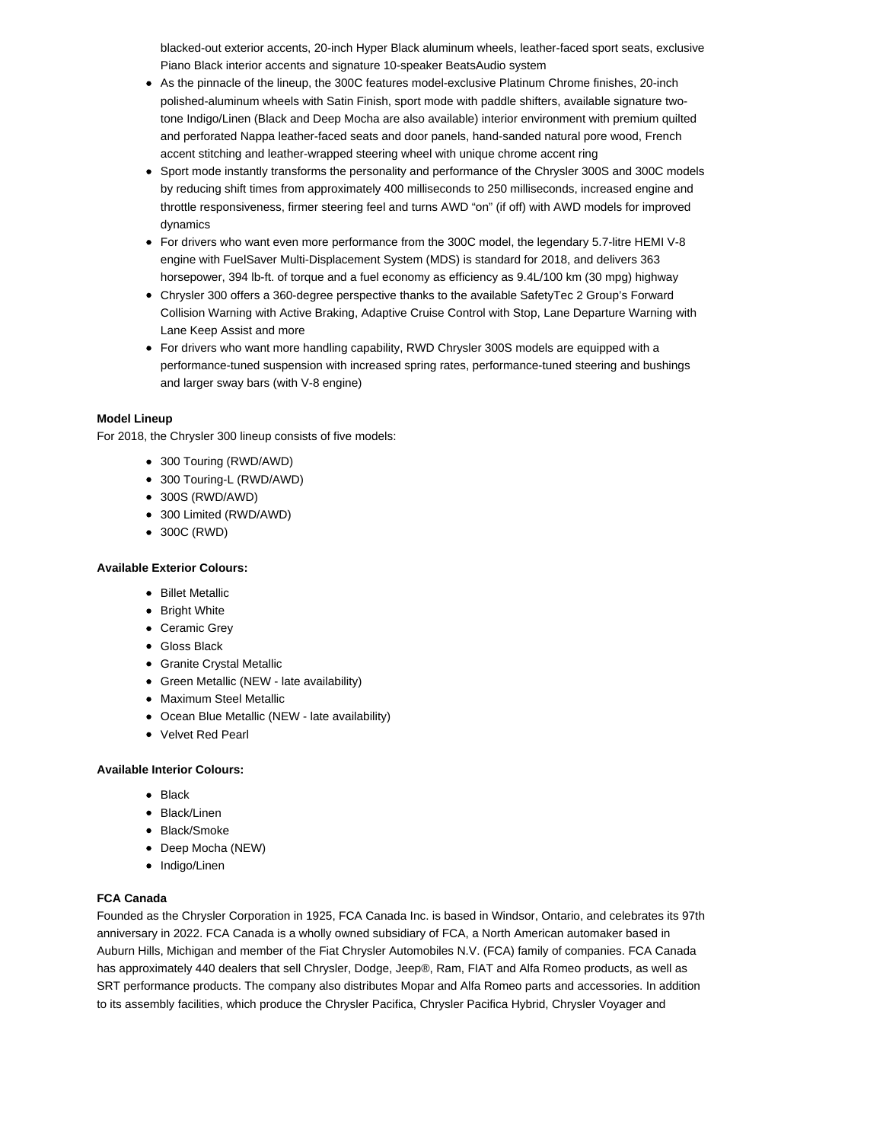blacked-out exterior accents, 20-inch Hyper Black aluminum wheels, leather-faced sport seats, exclusive Piano Black interior accents and signature 10-speaker BeatsAudio system

- As the pinnacle of the lineup, the 300C features model-exclusive Platinum Chrome finishes, 20-inch polished-aluminum wheels with Satin Finish, sport mode with paddle shifters, available signature twotone Indigo/Linen (Black and Deep Mocha are also available) interior environment with premium quilted and perforated Nappa leather-faced seats and door panels, hand-sanded natural pore wood, French accent stitching and leather-wrapped steering wheel with unique chrome accent ring
- Sport mode instantly transforms the personality and performance of the Chrysler 300S and 300C models by reducing shift times from approximately 400 milliseconds to 250 milliseconds, increased engine and throttle responsiveness, firmer steering feel and turns AWD "on" (if off) with AWD models for improved dynamics
- For drivers who want even more performance from the 300C model, the legendary 5.7-litre HEMI V-8 engine with FuelSaver Multi-Displacement System (MDS) is standard for 2018, and delivers 363 horsepower, 394 lb-ft. of torque and a fuel economy as efficiency as 9.4L/100 km (30 mpg) highway
- Chrysler 300 offers a 360-degree perspective thanks to the available SafetyTec 2 Group's Forward Collision Warning with Active Braking, Adaptive Cruise Control with Stop, Lane Departure Warning with Lane Keep Assist and more
- For drivers who want more handling capability, RWD Chrysler 300S models are equipped with a performance-tuned suspension with increased spring rates, performance-tuned steering and bushings and larger sway bars (with V-8 engine)

# **Model Lineup**

For 2018, the Chrysler 300 lineup consists of five models:

- 300 Touring (RWD/AWD)
- 300 Touring-L (RWD/AWD)
- 300S (RWD/AWD)
- 300 Limited (RWD/AWD)
- 300C (RWD)

### **Available Exterior Colours:**

- Billet Metallic
- Bright White
- Ceramic Grey
- Gloss Black
- Granite Crystal Metallic
- Green Metallic (NEW late availability)
- Maximum Steel Metallic
- Ocean Blue Metallic (NEW late availability)
- Velvet Red Pearl

### **Available Interior Colours:**

- $\bullet$  Black
- Black/Linen
- Black/Smoke
- Deep Mocha (NEW)
- Indigo/Linen

#### **FCA Canada**

Founded as the Chrysler Corporation in 1925, FCA Canada Inc. is based in Windsor, Ontario, and celebrates its 97th anniversary in 2022. FCA Canada is a wholly owned subsidiary of FCA, a North American automaker based in Auburn Hills, Michigan and member of the Fiat Chrysler Automobiles N.V. (FCA) family of companies. FCA Canada has approximately 440 dealers that sell Chrysler, Dodge, Jeep®, Ram, FIAT and Alfa Romeo products, as well as SRT performance products. The company also distributes Mopar and Alfa Romeo parts and accessories. In addition to its assembly facilities, which produce the Chrysler Pacifica, Chrysler Pacifica Hybrid, Chrysler Voyager and